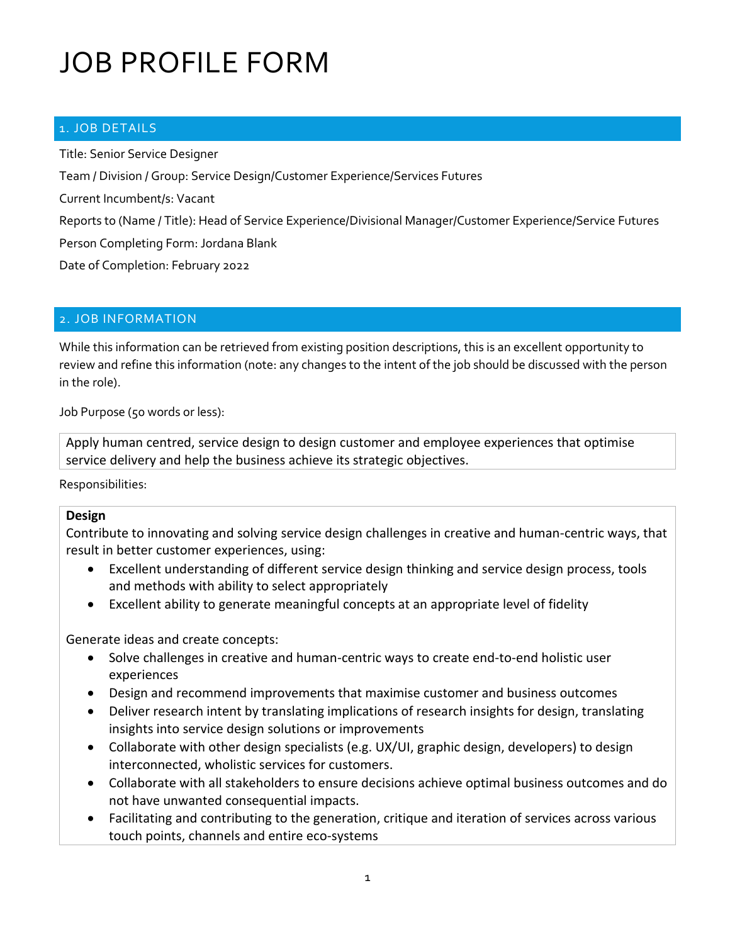### 1. JOB DETAILS

Title: Senior Service Designer Team / Division / Group: Service Design/Customer Experience/Services Futures Current Incumbent/s: Vacant Reports to (Name / Title): Head of Service Experience/Divisional Manager/Customer Experience/Service Futures Person Completing Form: Jordana Blank Date of Completion: February 2022

#### 2. JOB INFORMATION

While this information can be retrieved from existing position descriptions, this is an excellent opportunity to review and refine this information (note: any changes to the intent of the job should be discussed with the person in the role).

Job Purpose (50 words or less):

Apply human centred, service design to design customer and employee experiences that optimise service delivery and help the business achieve its strategic objectives.

Responsibilities:

#### **Design**

Contribute to innovating and solving service design challenges in creative and human-centric ways, that result in better customer experiences, using:

- Excellent understanding of different service design thinking and service design process, tools and methods with ability to select appropriately
- Excellent ability to generate meaningful concepts at an appropriate level of fidelity

Generate ideas and create concepts:

- Solve challenges in creative and human-centric ways to create end-to-end holistic user experiences
- Design and recommend improvements that maximise customer and business outcomes
- Deliver research intent by translating implications of research insights for design, translating insights into service design solutions or improvements
- Collaborate with other design specialists (e.g. UX/UI, graphic design, developers) to design interconnected, wholistic services for customers.
- Collaborate with all stakeholders to ensure decisions achieve optimal business outcomes and do not have unwanted consequential impacts.
- Facilitating and contributing to the generation, critique and iteration of services across various touch points, channels and entire eco-systems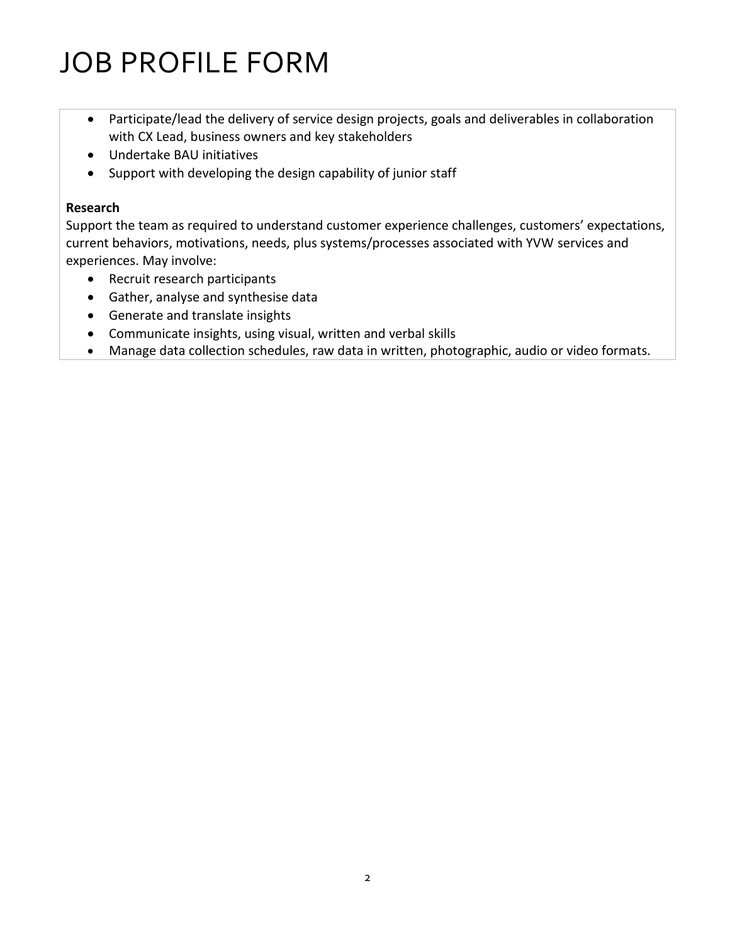- Participate/lead the delivery of service design projects, goals and deliverables in collaboration with CX Lead, business owners and key stakeholders
- Undertake BAU initiatives
- Support with developing the design capability of junior staff

### **Research**

Support the team as required to understand customer experience challenges, customers' expectations, current behaviors, motivations, needs, plus systems/processes associated with YVW services and experiences. May involve:

- Recruit research participants
- Gather, analyse and synthesise data
- Generate and translate insights
- Communicate insights, using visual, written and verbal skills
- Manage data collection schedules, raw data in written, photographic, audio or video formats.